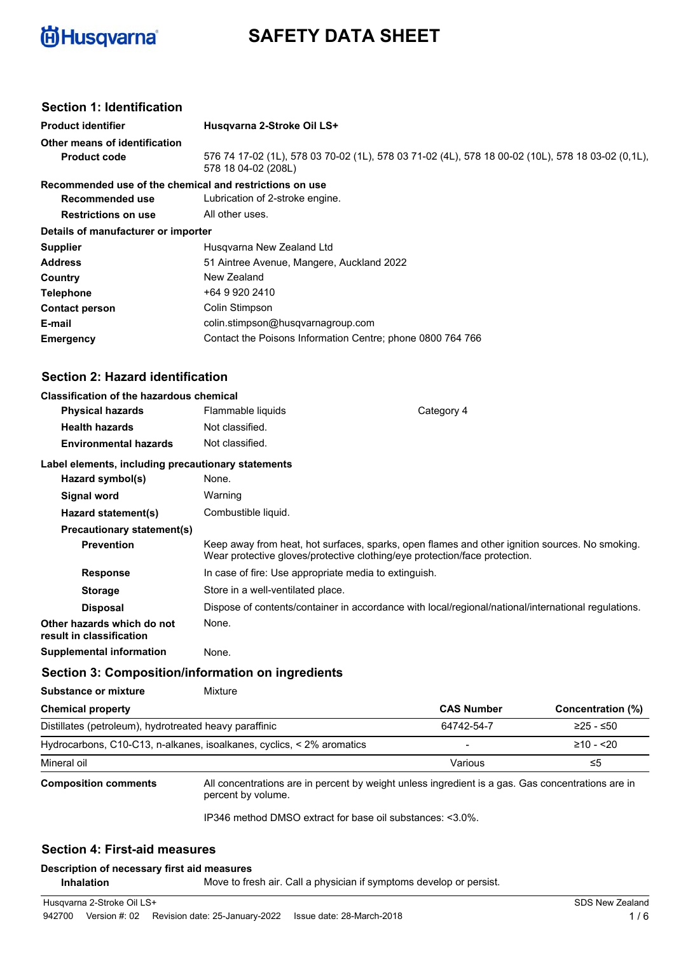

# **SAFETY DATA SHEET**

# **Section 1: Identification**

| Husqvarna 2-Stroke Oil LS+                                                                                               |
|--------------------------------------------------------------------------------------------------------------------------|
|                                                                                                                          |
| 576 74 17-02 (1L), 578 03 70-02 (1L), 578 03 71-02 (4L), 578 18 00-02 (10L), 578 18 03-02 (0,1L),<br>578 18 04-02 (208L) |
| Recommended use of the chemical and restrictions on use                                                                  |
| Lubrication of 2-stroke engine.                                                                                          |
| All other uses.                                                                                                          |
| Details of manufacturer or importer                                                                                      |
| Husgvarna New Zealand Ltd                                                                                                |
| 51 Aintree Avenue, Mangere, Auckland 2022                                                                                |
| New Zealand                                                                                                              |
| +64 9 920 2410                                                                                                           |
| Colin Stimpson                                                                                                           |
| colin.stimpson@husqvarnagroup.com                                                                                        |
| Contact the Poisons Information Centre; phone 0800 764 766                                                               |
|                                                                                                                          |

# **Section 2: Hazard identification**

| <b>Classification of the hazardous chemical</b> |  |  |
|-------------------------------------------------|--|--|
|                                                 |  |  |

| Glassification of the hazardous chemical               |                                                       |                                                                                                                                                                              |
|--------------------------------------------------------|-------------------------------------------------------|------------------------------------------------------------------------------------------------------------------------------------------------------------------------------|
| <b>Physical hazards</b>                                | Flammable liquids                                     | Category 4                                                                                                                                                                   |
| <b>Health hazards</b>                                  | Not classified.                                       |                                                                                                                                                                              |
| <b>Environmental hazards</b>                           | Not classified.                                       |                                                                                                                                                                              |
| Label elements, including precautionary statements     |                                                       |                                                                                                                                                                              |
| Hazard symbol(s)                                       | None.                                                 |                                                                                                                                                                              |
| Signal word                                            | Warning                                               |                                                                                                                                                                              |
| Hazard statement(s)                                    | Combustible liquid.                                   |                                                                                                                                                                              |
| <b>Precautionary statement(s)</b>                      |                                                       |                                                                                                                                                                              |
| <b>Prevention</b>                                      |                                                       | Keep away from heat, hot surfaces, sparks, open flames and other ignition sources. No smoking.<br>Wear protective gloves/protective clothing/eye protection/face protection. |
| <b>Response</b>                                        | In case of fire: Use appropriate media to extinguish. |                                                                                                                                                                              |
| <b>Storage</b>                                         | Store in a well-ventilated place.                     |                                                                                                                                                                              |
| <b>Disposal</b>                                        |                                                       | Dispose of contents/container in accordance with local/regional/national/international regulations.                                                                          |
| Other hazards which do not<br>result in classification | None.                                                 |                                                                                                                                                                              |

**Supplemental information** None.

### **Section 3: Composition/information on ingredients**

**Substance or mixture Mixture** 

| Chemical property                                                     | <b>CAS Number</b>        | Concentration (%) |
|-----------------------------------------------------------------------|--------------------------|-------------------|
| Distillates (petroleum), hydrotreated heavy paraffinic                | 64742-54-7               | ≥25 - ≤50         |
| Hydrocarbons, C10-C13, n-alkanes, isoalkanes, cyclics, < 2% aromatics | $\overline{\phantom{0}}$ | $≥10 - 20$        |
| Mineral oil                                                           | Various                  | כ≥                |

**Composition comments**

All concentrations are in percent by weight unless ingredient is a gas. Gas concentrations are in percent by volume.

IP346 method DMSO extract for base oil substances: <3.0%.

# **Section 4: First-aid measures**

#### **Description of necessary first aid measures**

**Inhalation** Move to fresh air. Call a physician if symptoms develop or persist.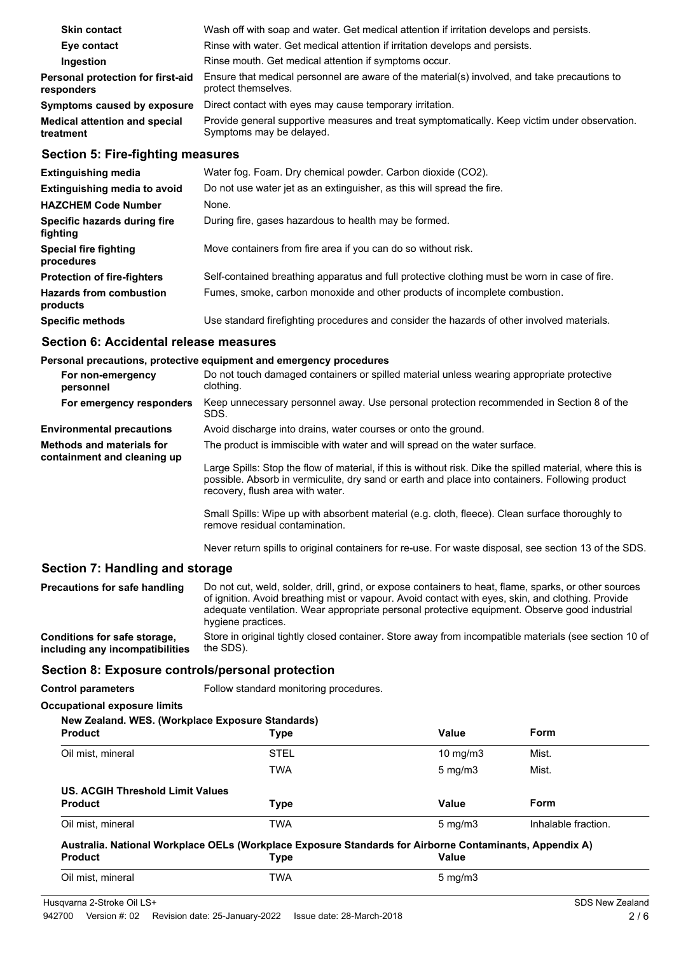| As attained to the fluid the construction         |                                                                                                                           |
|---------------------------------------------------|---------------------------------------------------------------------------------------------------------------------------|
| <b>Medical attention and special</b><br>treatment | Provide general supportive measures and treat symptomatically. Keep victim under observation.<br>Symptoms may be delayed. |
| Symptoms caused by exposure                       | Direct contact with eyes may cause temporary irritation.                                                                  |
| Personal protection for first-aid<br>responders   | Ensure that medical personnel are aware of the material(s) involved, and take precautions to<br>protect themselves.       |
| Ingestion                                         | Rinse mouth. Get medical attention if symptoms occur.                                                                     |
| Eye contact                                       | Rinse with water. Get medical attention if irritation develops and persists.                                              |
| <b>Skin contact</b>                               | Wash off with soap and water. Get medical attention if irritation develops and persists.                                  |

## **Section 5: Fire-fighting measures**

| <b>Extinguishing media</b>                 | Water fog. Foam. Dry chemical powder. Carbon dioxide (CO2).                                   |
|--------------------------------------------|-----------------------------------------------------------------------------------------------|
| <b>Extinguishing media to avoid</b>        | Do not use water jet as an extinguisher, as this will spread the fire.                        |
| <b>HAZCHEM Code Number</b>                 | None.                                                                                         |
| Specific hazards during fire<br>fighting   | During fire, gases hazardous to health may be formed.                                         |
| <b>Special fire fighting</b><br>procedures | Move containers from fire area if you can do so without risk.                                 |
| <b>Protection of fire-fighters</b>         | Self-contained breathing apparatus and full protective clothing must be worn in case of fire. |
| <b>Hazards from combustion</b><br>products | Fumes, smoke, carbon monoxide and other products of incomplete combustion.                    |
| <b>Specific methods</b>                    | Use standard firefighting procedures and consider the hazards of other involved materials.    |

### **Section 6: Accidental release measures**

#### **Personal precautions, protective equipment and emergency procedures**

| For non-emergency<br>personnel                           | Do not touch damaged containers or spilled material unless wearing appropriate protective<br>clothing.                                                                                                                                            |
|----------------------------------------------------------|---------------------------------------------------------------------------------------------------------------------------------------------------------------------------------------------------------------------------------------------------|
| For emergency responders                                 | Keep unnecessary personnel away. Use personal protection recommended in Section 8 of the<br>SDS.                                                                                                                                                  |
| <b>Environmental precautions</b>                         | Avoid discharge into drains, water courses or onto the ground.                                                                                                                                                                                    |
| Methods and materials for<br>containment and cleaning up | The product is immiscible with water and will spread on the water surface.                                                                                                                                                                        |
|                                                          | Large Spills: Stop the flow of material, if this is without risk. Dike the spilled material, where this is<br>possible. Absorb in vermiculite, dry sand or earth and place into containers. Following product<br>recovery, flush area with water. |
|                                                          | Small Spills: Wipe up with absorbent material (e.g. cloth, fleece). Clean surface thoroughly to<br>remove residual contamination.                                                                                                                 |

Never return spills to original containers for re-use. For waste disposal, see section 13 of the SDS.

### **Section 7: Handling and storage**

| Precautions for safe handling   | Do not cut, weld, solder, drill, grind, or expose containers to heat, flame, sparks, or other sources<br>of ignition. Avoid breathing mist or vapour. Avoid contact with eyes, skin, and clothing. Provide<br>adequate ventilation. Wear appropriate personal protective equipment. Observe good industrial<br>hygiene practices. |
|---------------------------------|-----------------------------------------------------------------------------------------------------------------------------------------------------------------------------------------------------------------------------------------------------------------------------------------------------------------------------------|
| Conditions for safe storage,    | Store in original tightly closed container. Store away from incompatible materials (see section 10 of                                                                                                                                                                                                                             |
| including any incompatibilities | the SDS).                                                                                                                                                                                                                                                                                                                         |

### **Section 8: Exposure controls/personal protection**

| <b>Control parameters</b>           | Follow standard monitoring procedures.                                                                  |                   |                     |
|-------------------------------------|---------------------------------------------------------------------------------------------------------|-------------------|---------------------|
| <b>Occupational exposure limits</b> |                                                                                                         |                   |                     |
|                                     | New Zealand. WES. (Workplace Exposure Standards)                                                        |                   |                     |
| <b>Product</b>                      | Type                                                                                                    | Value             | <b>Form</b>         |
| Oil mist, mineral                   | <b>STEL</b>                                                                                             | $10 \text{ mg/m}$ | Mist.               |
|                                     | <b>TWA</b>                                                                                              | $5 \text{ mg/m}$  | Mist.               |
| US. ACGIH Threshold Limit Values    |                                                                                                         |                   |                     |
| <b>Product</b>                      | <b>Type</b>                                                                                             | Value             | <b>Form</b>         |
| Oil mist, mineral                   | <b>TWA</b>                                                                                              | $5 \text{ mg/m}$  | Inhalable fraction. |
|                                     | Australia. National Workplace OELs (Workplace Exposure Standards for Airborne Contaminants, Appendix A) |                   |                     |
| <b>Product</b>                      | <b>Type</b>                                                                                             | <b>Value</b>      |                     |
| Oil mist, mineral                   | <b>TWA</b>                                                                                              | $5 \text{ mg/m}$  |                     |
|                                     |                                                                                                         |                   |                     |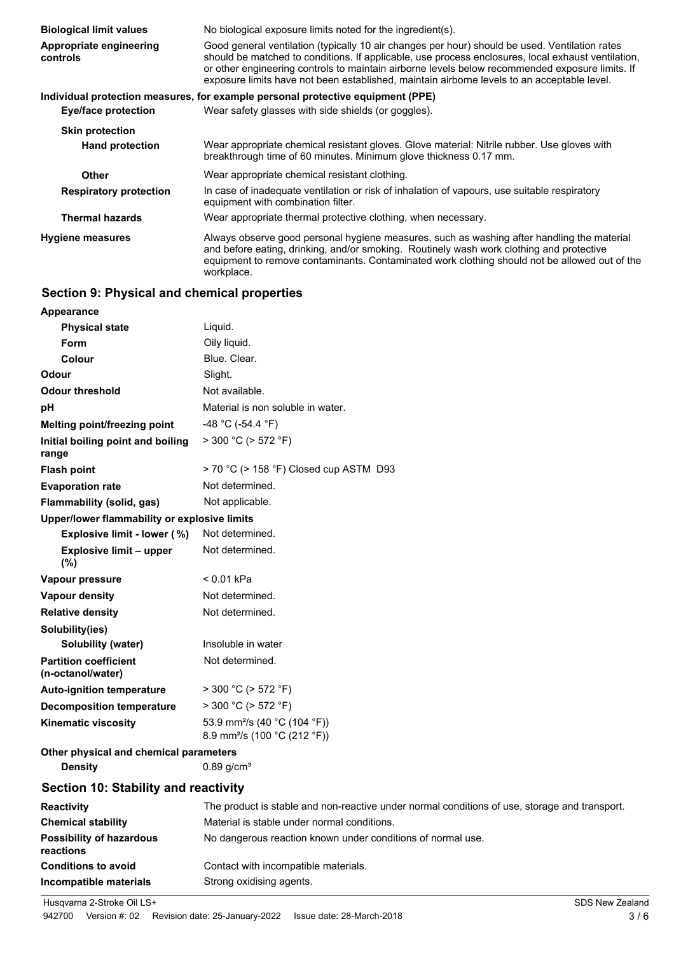| <b>Biological limit values</b>      | No biological exposure limits noted for the ingredient(s).                                                                                                                                                                                                                                                                                                                                             |
|-------------------------------------|--------------------------------------------------------------------------------------------------------------------------------------------------------------------------------------------------------------------------------------------------------------------------------------------------------------------------------------------------------------------------------------------------------|
| Appropriate engineering<br>controls | Good general ventilation (typically 10 air changes per hour) should be used. Ventilation rates<br>should be matched to conditions. If applicable, use process enclosures, local exhaust ventilation,<br>or other engineering controls to maintain airborne levels below recommended exposure limits. If<br>exposure limits have not been established, maintain airborne levels to an acceptable level. |
|                                     | Individual protection measures, for example personal protective equipment (PPE)                                                                                                                                                                                                                                                                                                                        |
| Eye/face protection                 | Wear safety glasses with side shields (or goggles).                                                                                                                                                                                                                                                                                                                                                    |
| <b>Skin protection</b>              |                                                                                                                                                                                                                                                                                                                                                                                                        |
| <b>Hand protection</b>              | Wear appropriate chemical resistant gloves. Glove material: Nitrile rubber. Use gloves with<br>breakthrough time of 60 minutes. Minimum glove thickness 0.17 mm.                                                                                                                                                                                                                                       |
| <b>Other</b>                        | Wear appropriate chemical resistant clothing.                                                                                                                                                                                                                                                                                                                                                          |
| <b>Respiratory protection</b>       | In case of inadequate ventilation or risk of inhalation of vapours, use suitable respiratory<br>equipment with combination filter.                                                                                                                                                                                                                                                                     |
| <b>Thermal hazards</b>              | Wear appropriate thermal protective clothing, when necessary.                                                                                                                                                                                                                                                                                                                                          |
| <b>Hygiene measures</b>             | Always observe good personal hygiene measures, such as washing after handling the material<br>and before eating, drinking, and/or smoking. Routinely wash work clothing and protective<br>equipment to remove contaminants. Contaminated work clothing should not be allowed out of the<br>workplace.                                                                                                  |

# **Section 9: Physical and chemical properties**

| Appearance                                        |                                                                                      |
|---------------------------------------------------|--------------------------------------------------------------------------------------|
| <b>Physical state</b>                             | Liquid.                                                                              |
| Form                                              | Oily liquid.                                                                         |
| Colour                                            | Blue. Clear.                                                                         |
| <b>Odour</b>                                      | Slight.                                                                              |
| <b>Odour threshold</b>                            | Not available.                                                                       |
| pH                                                | Material is non soluble in water.                                                    |
| Melting point/freezing point                      | -48 °C (-54.4 °F)                                                                    |
| Initial boiling point and boiling<br>range        | $>$ 300 °C ( $>$ 572 °F)                                                             |
| <b>Flash point</b>                                | > 70 °C (> 158 °F) Closed cup ASTM D93                                               |
| <b>Evaporation rate</b>                           | Not determined.                                                                      |
| Flammability (solid, gas)                         | Not applicable.                                                                      |
| Upper/lower flammability or explosive limits      |                                                                                      |
| Explosive limit - lower (%)                       | Not determined.                                                                      |
| <b>Explosive limit - upper</b><br>(%)             | Not determined.                                                                      |
| Vapour pressure                                   | $< 0.01$ kPa                                                                         |
| Vapour density                                    | Not determined.                                                                      |
| <b>Relative density</b>                           | Not determined.                                                                      |
| Solubility(ies)                                   |                                                                                      |
| Solubility (water)                                | Insoluble in water                                                                   |
| <b>Partition coefficient</b><br>(n-octanol/water) | Not determined.                                                                      |
| <b>Auto-ignition temperature</b>                  | $>$ 300 °C ( $>$ 572 °F)                                                             |
| <b>Decomposition temperature</b>                  | $>$ 300 °C ( $>$ 572 °F)                                                             |
| <b>Kinematic viscosity</b>                        | 53.9 mm <sup>2</sup> /s (40 °C (104 °F))<br>8.9 mm <sup>2</sup> /s (100 °C (212 °F)) |
| Other physical and chemical parameters            |                                                                                      |
| <b>Density</b>                                    | $0.89$ g/cm <sup>3</sup>                                                             |
| Section 10: Stability and reactivity              |                                                                                      |
| <b>Reactivity</b>                                 | The product is stable and non-reactive under normal conditions of use                |
| <b>Chemical stability</b>                         | Material is stable under normal conditions.                                          |
|                                                   |                                                                                      |

| <b>Reactivity</b>                            | The product is stable and non-reactive under normal conditions of use, storage and transport. |
|----------------------------------------------|-----------------------------------------------------------------------------------------------|
| <b>Chemical stability</b>                    | Material is stable under normal conditions.                                                   |
| <b>Possibility of hazardous</b><br>reactions | No dangerous reaction known under conditions of normal use.                                   |
| <b>Conditions to avoid</b>                   | Contact with incompatible materials.                                                          |
| Incompatible materials                       | Strong oxidising agents.                                                                      |

Husqvarna 2-Stroke Oil LS+ SDS New Zealand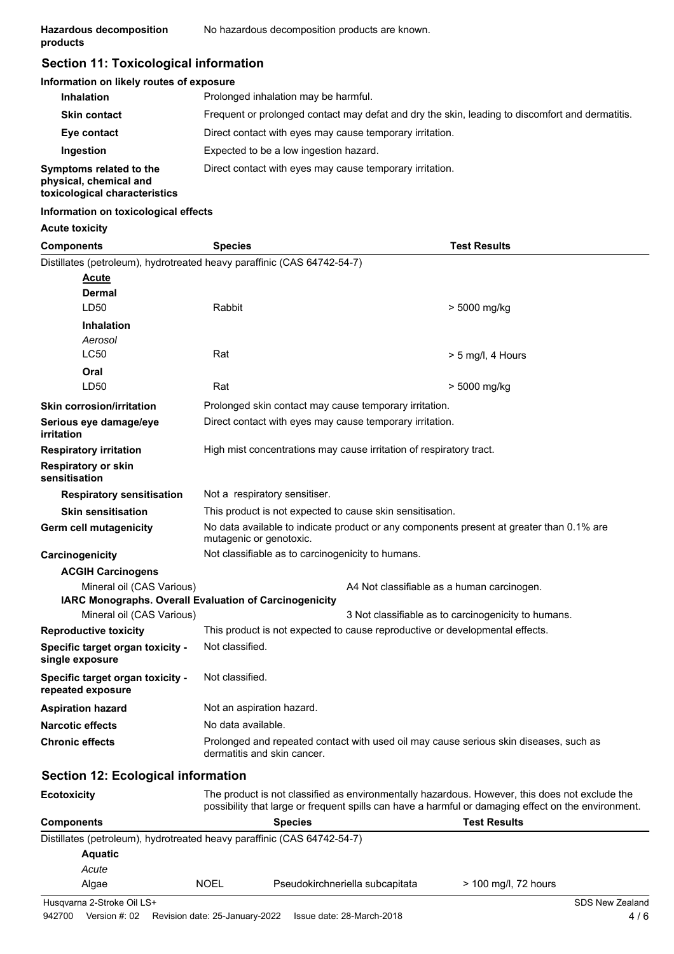# **Section 11: Toxicological information**

#### **Information on likely routes of exposure**

| <b>Inhalation</b>                                                                  | Prolonged inhalation may be harmful.                                                            |
|------------------------------------------------------------------------------------|-------------------------------------------------------------------------------------------------|
| <b>Skin contact</b>                                                                | Frequent or prolonged contact may defat and dry the skin, leading to discomfort and dermatitis. |
| Eye contact                                                                        | Direct contact with eyes may cause temporary irritation.                                        |
| Ingestion                                                                          | Expected to be a low ingestion hazard.                                                          |
| Symptoms related to the<br>physical, chemical and<br>toxicological characteristics | Direct contact with eyes may cause temporary irritation.                                        |

#### **Information on toxicological effects**

#### **Acute toxicity**

| <b>Components</b>                                     | <b>Species</b>                                                                                                                                                                                        | <b>Test Results</b>                        |  |
|-------------------------------------------------------|-------------------------------------------------------------------------------------------------------------------------------------------------------------------------------------------------------|--------------------------------------------|--|
|                                                       | Distillates (petroleum), hydrotreated heavy paraffinic (CAS 64742-54-7)                                                                                                                               |                                            |  |
| <b>Acute</b>                                          |                                                                                                                                                                                                       |                                            |  |
| Dermal                                                |                                                                                                                                                                                                       |                                            |  |
| LD50                                                  | Rabbit                                                                                                                                                                                                | > 5000 mg/kg                               |  |
| <b>Inhalation</b>                                     |                                                                                                                                                                                                       |                                            |  |
| Aerosol                                               |                                                                                                                                                                                                       |                                            |  |
| <b>LC50</b>                                           | Rat                                                                                                                                                                                                   | $> 5$ mg/l, 4 Hours                        |  |
| Oral                                                  |                                                                                                                                                                                                       |                                            |  |
| LD50                                                  | Rat                                                                                                                                                                                                   | > 5000 mg/kg                               |  |
| <b>Skin corrosion/irritation</b>                      | Prolonged skin contact may cause temporary irritation.                                                                                                                                                |                                            |  |
| Serious eye damage/eye<br>irritation                  | Direct contact with eyes may cause temporary irritation.                                                                                                                                              |                                            |  |
| <b>Respiratory irritation</b>                         | High mist concentrations may cause irritation of respiratory tract.                                                                                                                                   |                                            |  |
| <b>Respiratory or skin</b><br>sensitisation           |                                                                                                                                                                                                       |                                            |  |
| <b>Respiratory sensitisation</b>                      | Not a respiratory sensitiser.                                                                                                                                                                         |                                            |  |
| <b>Skin sensitisation</b>                             | This product is not expected to cause skin sensitisation.                                                                                                                                             |                                            |  |
| <b>Germ cell mutagenicity</b>                         | No data available to indicate product or any components present at greater than 0.1% are<br>mutagenic or genotoxic.                                                                                   |                                            |  |
| Carcinogenicity                                       | Not classifiable as to carcinogenicity to humans.                                                                                                                                                     |                                            |  |
| <b>ACGIH Carcinogens</b>                              |                                                                                                                                                                                                       |                                            |  |
| Mineral oil (CAS Various)                             | IARC Monographs. Overall Evaluation of Carcinogenicity                                                                                                                                                | A4 Not classifiable as a human carcinogen. |  |
| Mineral oil (CAS Various)                             | 3 Not classifiable as to carcinogenicity to humans.                                                                                                                                                   |                                            |  |
| <b>Reproductive toxicity</b>                          | This product is not expected to cause reproductive or developmental effects.                                                                                                                          |                                            |  |
| Specific target organ toxicity -<br>single exposure   | Not classified.                                                                                                                                                                                       |                                            |  |
| Specific target organ toxicity -<br>repeated exposure | Not classified.                                                                                                                                                                                       |                                            |  |
| <b>Aspiration hazard</b>                              | Not an aspiration hazard.                                                                                                                                                                             |                                            |  |
| <b>Narcotic effects</b>                               | No data available.                                                                                                                                                                                    |                                            |  |
| Chronic effects                                       | Prolonged and repeated contact with used oil may cause serious skin diseases, such as<br>dermatitis and skin cancer.                                                                                  |                                            |  |
| <b>Section 12: Ecological information</b>             |                                                                                                                                                                                                       |                                            |  |
| <b>Ecotoxicity</b>                                    | The product is not classified as environmentally hazardous. However, this does not exclude the<br>possibility that large or frequent spills can have a harmful or damaging effect on the environment. |                                            |  |
| <b>Components</b>                                     | <b>Species</b>                                                                                                                                                                                        | <b>Test Results</b>                        |  |
| <b>Aquatic</b>                                        | Distillates (petroleum), hydrotreated heavy paraffinic (CAS 64742-54-7)                                                                                                                               |                                            |  |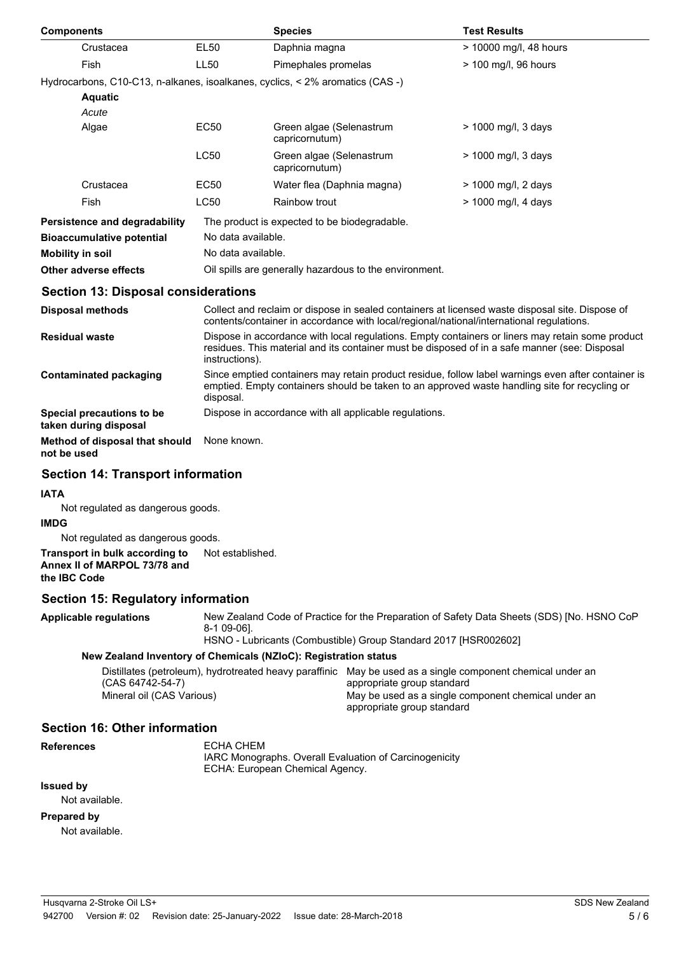| <b>Components</b>                                  |                                                                                                                                                                                                                     | <b>Species</b>                                                                | <b>Test Results</b>    |  |
|----------------------------------------------------|---------------------------------------------------------------------------------------------------------------------------------------------------------------------------------------------------------------------|-------------------------------------------------------------------------------|------------------------|--|
| Crustacea                                          | <b>EL50</b>                                                                                                                                                                                                         | Daphnia magna                                                                 | > 10000 mg/l, 48 hours |  |
| <b>Fish</b>                                        | LL50                                                                                                                                                                                                                | Pimephales promelas                                                           | > 100 mg/l, 96 hours   |  |
|                                                    |                                                                                                                                                                                                                     | Hydrocarbons, C10-C13, n-alkanes, isoalkanes, cyclics, < 2% aromatics (CAS -) |                        |  |
| <b>Aquatic</b>                                     |                                                                                                                                                                                                                     |                                                                               |                        |  |
| Acute                                              |                                                                                                                                                                                                                     |                                                                               |                        |  |
| Algae                                              | EC50                                                                                                                                                                                                                | Green algae (Selenastrum<br>capricornutum)                                    | > 1000 mg/l, 3 days    |  |
|                                                    | <b>LC50</b>                                                                                                                                                                                                         | Green algae (Selenastrum<br>capricornutum)                                    | > 1000 mg/l, 3 days    |  |
| Crustacea                                          | EC50                                                                                                                                                                                                                | Water flea (Daphnia magna)                                                    | > 1000 mg/l, 2 days    |  |
| Fish                                               | <b>LC50</b>                                                                                                                                                                                                         | Rainbow trout                                                                 | > 1000 mg/l, 4 days    |  |
| Persistence and degradability                      |                                                                                                                                                                                                                     | The product is expected to be biodegradable.                                  |                        |  |
| <b>Bioaccumulative potential</b>                   |                                                                                                                                                                                                                     | No data available.                                                            |                        |  |
| <b>Mobility in soil</b>                            |                                                                                                                                                                                                                     | No data available.                                                            |                        |  |
| Other adverse effects                              |                                                                                                                                                                                                                     | Oil spills are generally hazardous to the environment.                        |                        |  |
| <b>Section 13: Disposal considerations</b>         |                                                                                                                                                                                                                     |                                                                               |                        |  |
| <b>Disposal methods</b>                            | Collect and reclaim or dispose in sealed containers at licensed waste disposal site. Dispose of<br>contents/container in accordance with local/regional/national/international regulations.                         |                                                                               |                        |  |
| <b>Residual waste</b>                              | Dispose in accordance with local regulations. Empty containers or liners may retain some product<br>residues. This material and its container must be disposed of in a safe manner (see: Disposal<br>instructions). |                                                                               |                        |  |
| <b>Contaminated packaging</b>                      | Since emptied containers may retain product residue, follow label warnings even after container is<br>emptied. Empty containers should be taken to an approved waste handling site for recycling or<br>disposal.    |                                                                               |                        |  |
| Special precautions to be<br>taken during disposal |                                                                                                                                                                                                                     | Dispose in accordance with all applicable regulations.                        |                        |  |

**Method of disposal that should** None known. **not be used**

# **Section 14: Transport information**

### **IATA**

Not regulated as dangerous goods.

### **IMDG**

Not regulated as dangerous goods.

**Transport in bulk according to** Not established. **Annex II of MARPOL 73/78 and the IBC Code**

## **Section 15: Regulatory information**

**Applicable regulations**

New Zealand Code of Practice for the Preparation of Safety Data Sheets (SDS) [No. HSNO CoP 8-1 09-06]. HSNO - Lubricants (Combustible) Group Standard 2017 [HSR002602]

**New Zealand Inventory of Chemicals (NZIoC): Registration status**

|                           | Distillates (petroleum), hydrotreated heavy paraffinic May be used as a single component chemical under an |
|---------------------------|------------------------------------------------------------------------------------------------------------|
| (CAS 64742-54-7)          | appropriate group standard                                                                                 |
| Mineral oil (CAS Various) | May be used as a single component chemical under an                                                        |
|                           | appropriate group standard                                                                                 |

# **Section 16: Other information**

**References**

ECHA CHEM IARC Monographs. Overall Evaluation of Carcinogenicity ECHA: European Chemical Agency.

# **Issued by**

Not available.

### **Prepared by**

Not available.